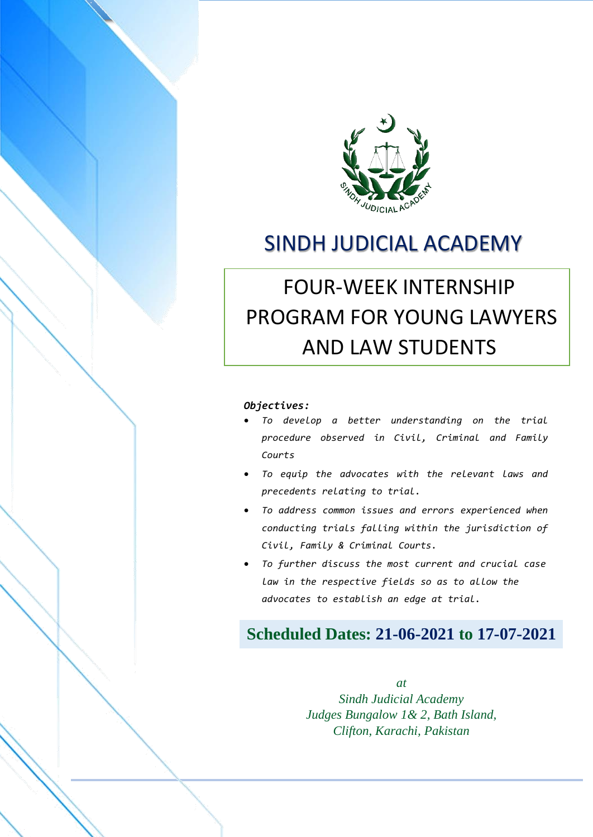

# SINDH JUDICIAL ACADEMY

# FOUR-WEEK INTERNSHIP PROGRAM FOR YOUNG LAWYERS AND LAW STUDENTS

#### *Objectives:*

 FOUR-WEEK INTERNSHIP PROGRAM FOR YOUNG LAWYERS AND LAW STUDENTS **THE VENUE: SINDH JUDICIAL ACADEMY, BATH ISLAND, CLIPTON, CLIPTON, CLIPTON, CLIPTON, CLIPTON, CLIPTON, CLIPTON,** 

- *To develop a better understanding on the trial procedure observed in Civil, Criminal and Family Courts*
- *To equip the advocates with the relevant laws and precedents relating to trial.*
- *To address common issues and errors experienced when conducting trials falling within the jurisdiction of Civil, Family & Criminal Courts.*
- *To further discuss the most current and crucial case law in the respective fields so as to allow the advocates to establish an edge at trial.*

# **Scheduled Dates: 21-06-2021 to 17-07-2021**

*at Sindh Judicial Academy Judges Bungalow 1& 2, Bath Island, Clifton, Karachi, Pakistan*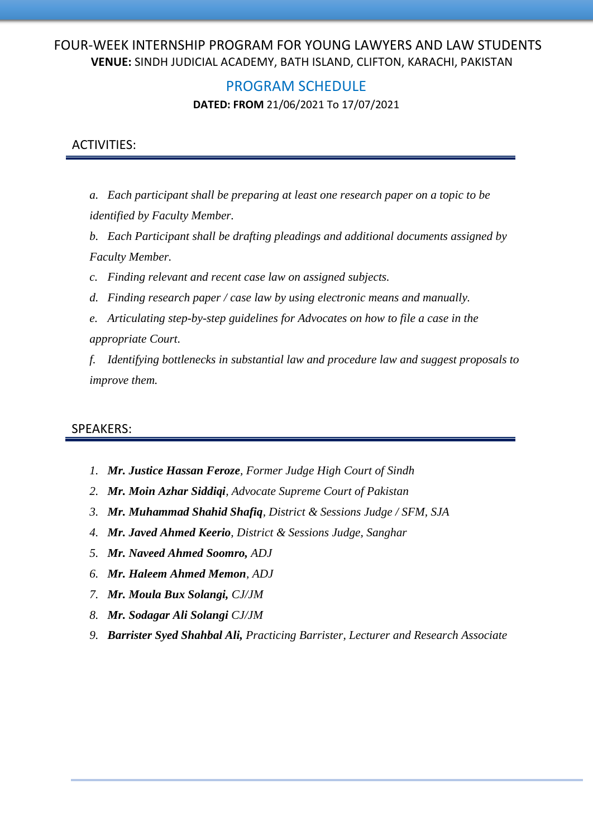#### PROGRAM SCHEDULE

**DATED: FROM** 21/06/2021 To 17/07/2021

#### ACTIVITIES:

- *a. Each participant shall be preparing at least one research paper on a topic to be identified by Faculty Member.*
- *b. Each Participant shall be drafting pleadings and additional documents assigned by Faculty Member.*
- *c. Finding relevant and recent case law on assigned subjects.*
- *d. Finding research paper / case law by using electronic means and manually.*
- *e. Articulating step-by-step guidelines for Advocates on how to file a case in the appropriate Court.*

*f. Identifying bottlenecks in substantial law and procedure law and suggest proposals to improve them.*

#### SPEAKERS:

- *1. Mr. Justice Hassan Feroze, Former Judge High Court of Sindh*
- *2. Mr. Moin Azhar Siddiqi, Advocate Supreme Court of Pakistan*
- *3. Mr. Muhammad Shahid Shafiq, District & Sessions Judge / SFM, SJA*
- *4. Mr. Javed Ahmed Keerio, District & Sessions Judge, Sanghar*
- *5. Mr. Naveed Ahmed Soomro, ADJ*
- *6. Mr. Haleem Ahmed Memon, ADJ*
- *7. Mr. Moula Bux Solangi, CJ/JM*
- *8. Mr. Sodagar Ali Solangi CJ/JM*
- *9. Barrister Syed Shahbal Ali, Practicing Barrister, Lecturer and Research Associate*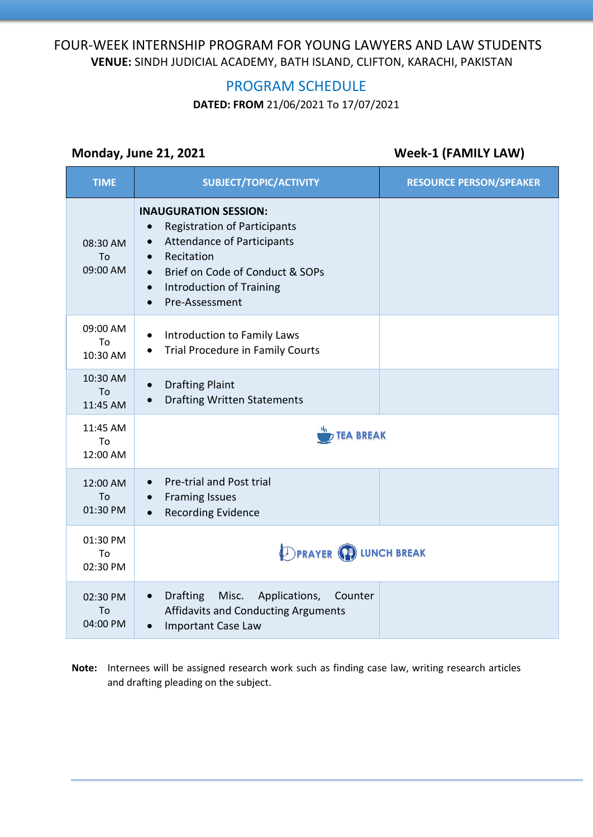# PROGRAM SCHEDULE

**DATED: FROM** 21/06/2021 To 17/07/2021

### **Monday, June 21, 2021 Week-1 (FAMILY LAW)**

| <b>TIME</b>                       | SUBJECT/TOPIC/ACTIVITY                                                                                                                                                                                                                                             | <b>RESOURCE PERSON/SPEAKER</b> |
|-----------------------------------|--------------------------------------------------------------------------------------------------------------------------------------------------------------------------------------------------------------------------------------------------------------------|--------------------------------|
| 08:30 AM<br>To<br>09:00 AM        | <b>INAUGURATION SESSION:</b><br><b>Registration of Participants</b><br><b>Attendance of Participants</b><br>$\bullet$<br>Recitation<br>$\bullet$<br>Brief on Code of Conduct & SOPs<br>$\bullet$<br><b>Introduction of Training</b><br>$\bullet$<br>Pre-Assessment |                                |
| 09:00 AM<br>To<br>10:30 AM        | Introduction to Family Laws<br>Trial Procedure in Family Courts<br>$\bullet$                                                                                                                                                                                       |                                |
| 10:30 AM<br><b>To</b><br>11:45 AM | <b>Drafting Plaint</b><br>$\bullet$<br><b>Drafting Written Statements</b><br>$\bullet$                                                                                                                                                                             |                                |
| 11:45 AM<br>To<br>12:00 AM        | <b>TEA BREAK</b>                                                                                                                                                                                                                                                   |                                |
| 12:00 AM<br>To<br>01:30 PM        | Pre-trial and Post trial<br><b>Framing Issues</b><br>$\bullet$<br><b>Recording Evidence</b><br>$\bullet$                                                                                                                                                           |                                |
| 01:30 PM<br>To<br>02:30 PM        | <b>DPRAYER (P) LUNCH BREAK</b>                                                                                                                                                                                                                                     |                                |
| 02:30 PM<br>To<br>04:00 PM        | <b>Drafting</b><br>Misc.<br>Applications,<br>Counter<br>$\bullet$<br><b>Affidavits and Conducting Arguments</b><br>Important Case Law                                                                                                                              |                                |

**Note:** Internees will be assigned research work such as finding case law, writing research articles and drafting pleading on the subject.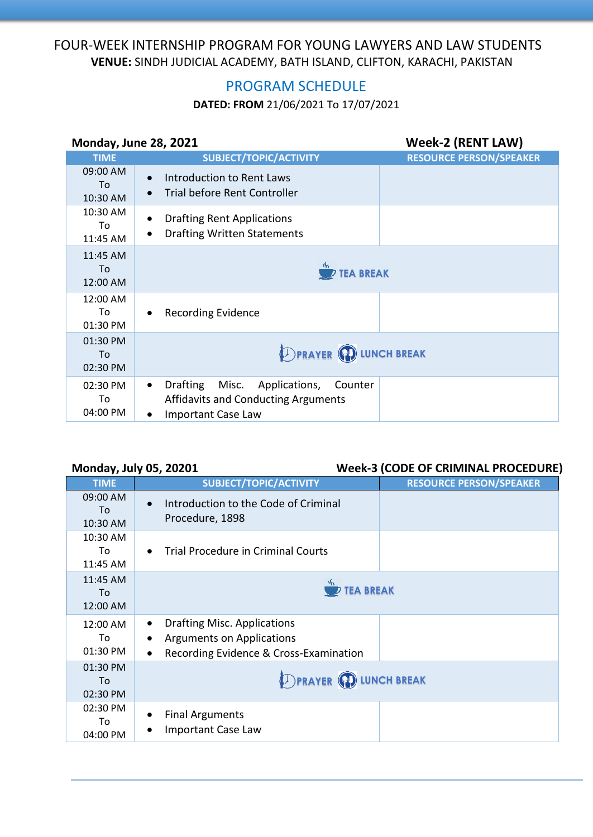# PROGRAM SCHEDULE

### **DATED: FROM** 21/06/2021 To 17/07/2021

| <b>Monday, June 28, 2021</b> |                                                                                                                                    | <b>Week-2 (RENT LAW)</b>       |
|------------------------------|------------------------------------------------------------------------------------------------------------------------------------|--------------------------------|
| <b>TIME</b>                  | <b>SUBJECT/TOPIC/ACTIVITY</b>                                                                                                      | <b>RESOURCE PERSON/SPEAKER</b> |
| 09:00 AM<br>To<br>10:30 AM   | Introduction to Rent Laws<br>Trial before Rent Controller                                                                          |                                |
| 10:30 AM<br>To<br>11:45 AM   | <b>Drafting Rent Applications</b><br><b>Drafting Written Statements</b>                                                            |                                |
| 11:45 AM<br>To<br>12:00 AM   | <b>TEA BREAK</b>                                                                                                                   |                                |
| 12:00 AM<br>To<br>01:30 PM   | <b>Recording Evidence</b>                                                                                                          |                                |
| 01:30 PM<br>To<br>02:30 PM   | <b>DPRAYER COLUNCH BREAK</b>                                                                                                       |                                |
| 02:30 PM<br>To<br>04:00 PM   | <b>Drafting</b><br>Misc. Applications,<br>Counter<br>$\bullet$<br>Affidavits and Conducting Arguments<br><b>Important Case Law</b> |                                |

#### **Monday, July 05, 20201 Week-3 (CODE OF CRIMINAL PROCEDURE)**

| <b>TIME</b>                | <b>SUBJECT/TOPIC/ACTIVITY</b>                                                                                          | <b>RESOURCE PERSON/SPEAKER</b> |
|----------------------------|------------------------------------------------------------------------------------------------------------------------|--------------------------------|
| 09:00 AM<br>To<br>10:30 AM | Introduction to the Code of Criminal<br>$\bullet$<br>Procedure, 1898                                                   |                                |
| 10:30 AM<br>To<br>11:45 AM | Trial Procedure in Criminal Courts                                                                                     |                                |
| 11:45 AM<br>To<br>12:00 AM | <b>TEA BREAK</b>                                                                                                       |                                |
| 12:00 AM<br>To<br>01:30 PM | <b>Drafting Misc. Applications</b><br>Arguments on Applications<br>Recording Evidence & Cross-Examination<br>$\bullet$ |                                |
| 01:30 PM<br>To<br>02:30 PM | <b>DPRAYER CD LUNCH BREAK</b>                                                                                          |                                |
| 02:30 PM<br>To<br>04:00 PM | <b>Final Arguments</b><br>Important Case Law                                                                           |                                |